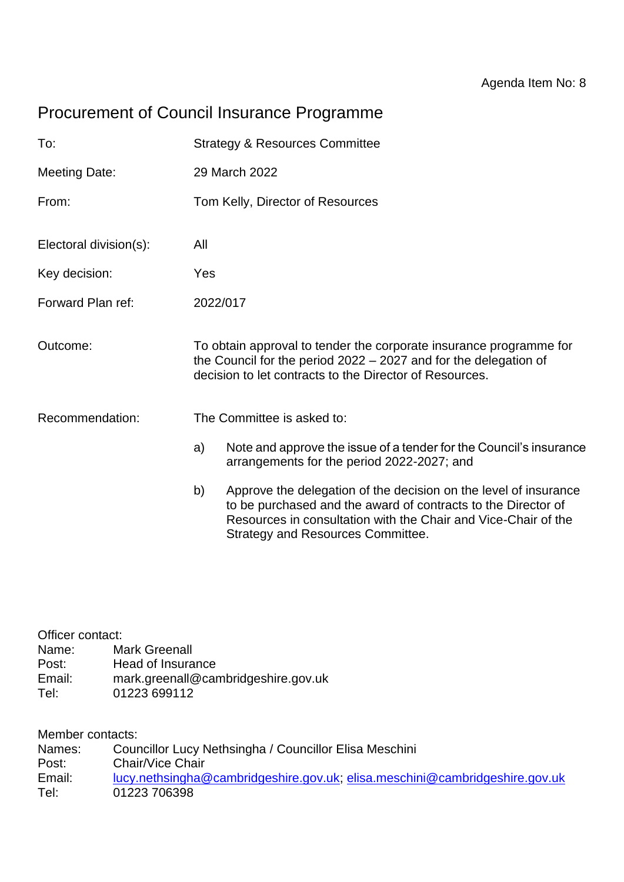# Procurement of Council Insurance Programme

| To:                    |                                                                                                                                                                                                     | <b>Strategy &amp; Resources Committee</b>                                                                                                                                                                                                       |
|------------------------|-----------------------------------------------------------------------------------------------------------------------------------------------------------------------------------------------------|-------------------------------------------------------------------------------------------------------------------------------------------------------------------------------------------------------------------------------------------------|
| <b>Meeting Date:</b>   |                                                                                                                                                                                                     | 29 March 2022                                                                                                                                                                                                                                   |
| From:                  |                                                                                                                                                                                                     | Tom Kelly, Director of Resources                                                                                                                                                                                                                |
| Electoral division(s): | All                                                                                                                                                                                                 |                                                                                                                                                                                                                                                 |
| Key decision:          | Yes                                                                                                                                                                                                 |                                                                                                                                                                                                                                                 |
| Forward Plan ref:      | 2022/017                                                                                                                                                                                            |                                                                                                                                                                                                                                                 |
| Outcome:               | To obtain approval to tender the corporate insurance programme for<br>the Council for the period $2022 - 2027$ and for the delegation of<br>decision to let contracts to the Director of Resources. |                                                                                                                                                                                                                                                 |
| Recommendation:        | The Committee is asked to:                                                                                                                                                                          |                                                                                                                                                                                                                                                 |
|                        | a)                                                                                                                                                                                                  | Note and approve the issue of a tender for the Council's insurance<br>arrangements for the period 2022-2027; and                                                                                                                                |
|                        | b)                                                                                                                                                                                                  | Approve the delegation of the decision on the level of insurance<br>to be purchased and the award of contracts to the Director of<br>Resources in consultation with the Chair and Vice-Chair of the<br><b>Strategy and Resources Committee.</b> |

| Officer contact: |                                     |  |  |  |
|------------------|-------------------------------------|--|--|--|
| Name:            | <b>Mark Greenall</b>                |  |  |  |
| Post:            | Head of Insurance                   |  |  |  |
| Email:           | mark.greenall@cambridgeshire.gov.uk |  |  |  |
| Tel:             | 01223 699112                        |  |  |  |

Member contacts:

| Names: | Councillor Lucy Nethsingha / Councillor Elisa Meschini                      |
|--------|-----------------------------------------------------------------------------|
| Post:  | Chair/Vice Chair                                                            |
| Email: | lucy.nethsingha@cambridgeshire.gov.uk; elisa.meschini@cambridgeshire.gov.uk |
| Tel:   | 01223 706398                                                                |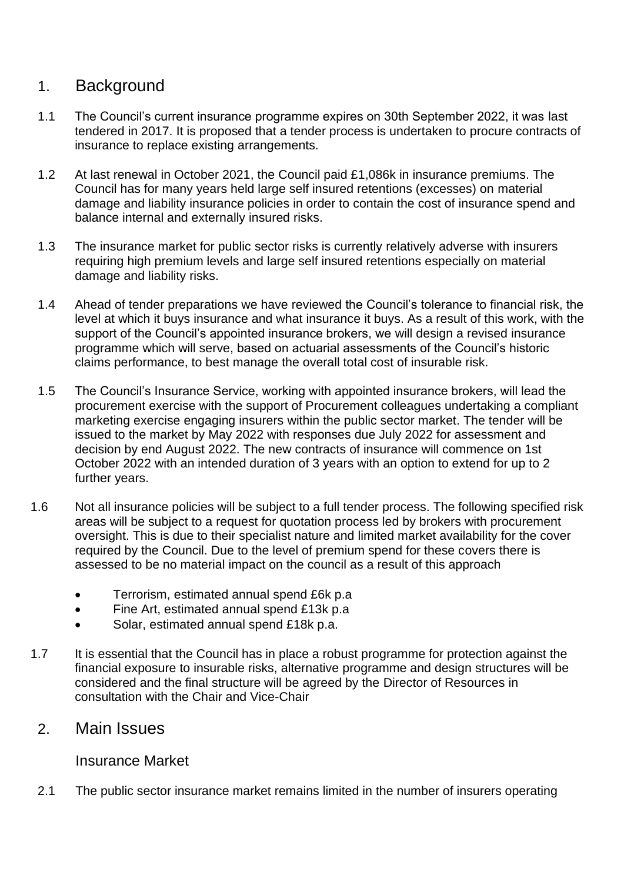# 1. Background

- 1.1 The Council's current insurance programme expires on 30th September 2022, it was last tendered in 2017. It is proposed that a tender process is undertaken to procure contracts of insurance to replace existing arrangements.
- 1.2 At last renewal in October 2021, the Council paid £1,086k in insurance premiums. The Council has for many years held large self insured retentions (excesses) on material damage and liability insurance policies in order to contain the cost of insurance spend and balance internal and externally insured risks.
- 1.3 The insurance market for public sector risks is currently relatively adverse with insurers requiring high premium levels and large self insured retentions especially on material damage and liability risks.
- 1.4 Ahead of tender preparations we have reviewed the Council's tolerance to financial risk, the level at which it buys insurance and what insurance it buys. As a result of this work, with the support of the Council's appointed insurance brokers, we will design a revised insurance programme which will serve, based on actuarial assessments of the Council's historic claims performance, to best manage the overall total cost of insurable risk.
- 1.5 The Council's Insurance Service, working with appointed insurance brokers, will lead the procurement exercise with the support of Procurement colleagues undertaking a compliant marketing exercise engaging insurers within the public sector market. The tender will be issued to the market by May 2022 with responses due July 2022 for assessment and decision by end August 2022. The new contracts of insurance will commence on 1st October 2022 with an intended duration of 3 years with an option to extend for up to 2 further years.
- 1.6 Not all insurance policies will be subject to a full tender process. The following specified risk areas will be subject to a request for quotation process led by brokers with procurement oversight. This is due to their specialist nature and limited market availability for the cover required by the Council. Due to the level of premium spend for these covers there is assessed to be no material impact on the council as a result of this approach
	- Terrorism, estimated annual spend £6k p.a
	- Fine Art, estimated annual spend £13k p.a
	- Solar, estimated annual spend £18k p.a.
- 1.7 It is essential that the Council has in place a robust programme for protection against the financial exposure to insurable risks, alternative programme and design structures will be considered and the final structure will be agreed by the Director of Resources in consultation with the Chair and Vice-Chair

### 2. Main Issues

### Insurance Market

2.1 The public sector insurance market remains limited in the number of insurers operating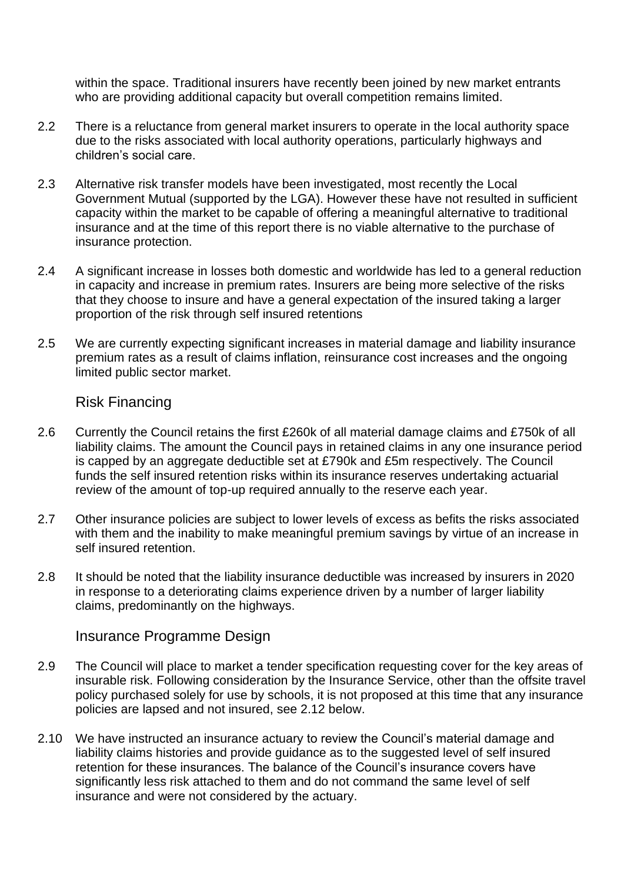within the space. Traditional insurers have recently been joined by new market entrants who are providing additional capacity but overall competition remains limited.

- 2.2 There is a reluctance from general market insurers to operate in the local authority space due to the risks associated with local authority operations, particularly highways and children's social care.
- 2.3 Alternative risk transfer models have been investigated, most recently the Local Government Mutual (supported by the LGA). However these have not resulted in sufficient capacity within the market to be capable of offering a meaningful alternative to traditional insurance and at the time of this report there is no viable alternative to the purchase of insurance protection.
- 2.4 A significant increase in losses both domestic and worldwide has led to a general reduction in capacity and increase in premium rates. Insurers are being more selective of the risks that they choose to insure and have a general expectation of the insured taking a larger proportion of the risk through self insured retentions
- 2.5 We are currently expecting significant increases in material damage and liability insurance premium rates as a result of claims inflation, reinsurance cost increases and the ongoing limited public sector market.

### Risk Financing

- 2.6 Currently the Council retains the first £260k of all material damage claims and £750k of all liability claims. The amount the Council pays in retained claims in any one insurance period is capped by an aggregate deductible set at £790k and £5m respectively. The Council funds the self insured retention risks within its insurance reserves undertaking actuarial review of the amount of top-up required annually to the reserve each year.
- 2.7 Other insurance policies are subject to lower levels of excess as befits the risks associated with them and the inability to make meaningful premium savings by virtue of an increase in self insured retention.
- 2.8 It should be noted that the liability insurance deductible was increased by insurers in 2020 in response to a deteriorating claims experience driven by a number of larger liability claims, predominantly on the highways.

#### Insurance Programme Design

- 2.9 The Council will place to market a tender specification requesting cover for the key areas of insurable risk. Following consideration by the Insurance Service, other than the offsite travel policy purchased solely for use by schools, it is not proposed at this time that any insurance policies are lapsed and not insured, see 2.12 below.
- 2.10 We have instructed an insurance actuary to review the Council's material damage and liability claims histories and provide guidance as to the suggested level of self insured retention for these insurances. The balance of the Council's insurance covers have significantly less risk attached to them and do not command the same level of self insurance and were not considered by the actuary.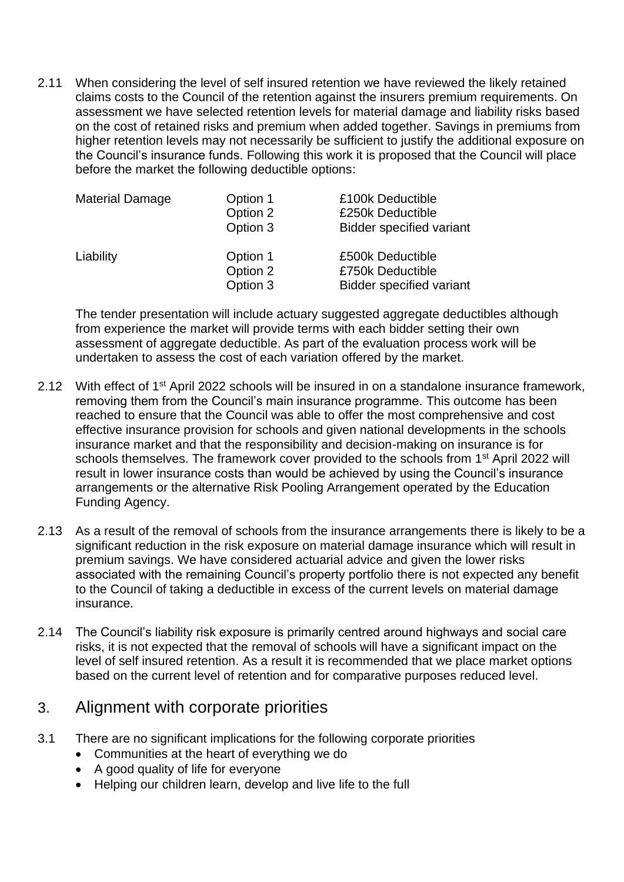2.11 When considering the level of self insured retention we have reviewed the likely retained claims costs to the Council of the retention against the insurers premium requirements. On assessment we have selected retention levels for material damage and liability risks based on the cost of retained risks and premium when added together. Savings in premiums from higher retention levels may not necessarily be sufficient to justify the additional exposure on the Council's insurance funds. Following this work it is proposed that the Council will place before the market the following deductible options:

| Material Damage | Option 1<br>Option 2<br>Option 3 | £100k Deductible<br>£250k Deductible<br><b>Bidder specified variant</b> |
|-----------------|----------------------------------|-------------------------------------------------------------------------|
| Liability       | Option 1<br>Option 2<br>Option 3 | £500k Deductible<br>£750k Deductible<br><b>Bidder specified variant</b> |

The tender presentation will include actuary suggested aggregate deductibles although from experience the market will provide terms with each bidder setting their own assessment of aggregate deductible. As part of the evaluation process work will be undertaken to assess the cost of each variation offered by the market.

- 2.12 With effect of 1<sup>st</sup> April 2022 schools will be insured in on a standalone insurance framework, removing them from the Council's main insurance programme. This outcome has been reached to ensure that the Council was able to offer the most comprehensive and cost effective insurance provision for schools and given national developments in the schools insurance market and that the responsibility and decision-making on insurance is for schools themselves. The framework cover provided to the schools from 1<sup>st</sup> April 2022 will result in lower insurance costs than would be achieved by using the Council's insurance arrangements or the alternative Risk Pooling Arrangement operated by the Education Funding Agency.
- 2.13 As a result of the removal of schools from the insurance arrangements there is likely to be a significant reduction in the risk exposure on material damage insurance which will result in premium savings. We have considered actuarial advice and given the lower risks associated with the remaining Council's property portfolio there is not expected any benefit to the Council of taking a deductible in excess of the current levels on material damage insurance.
- 2.14 The Council's liability risk exposure is primarily centred around highways and social care risks, it is not expected that the removal of schools will have a significant impact on the level of self insured retention. As a result it is recommended that we place market options based on the current level of retention and for comparative purposes reduced level.

## 3. Alignment with corporate priorities

- 3.1 There are no significant implications for the following corporate priorities
	- Communities at the heart of everything we do
	- A good quality of life for everyone
	- Helping our children learn, develop and live life to the full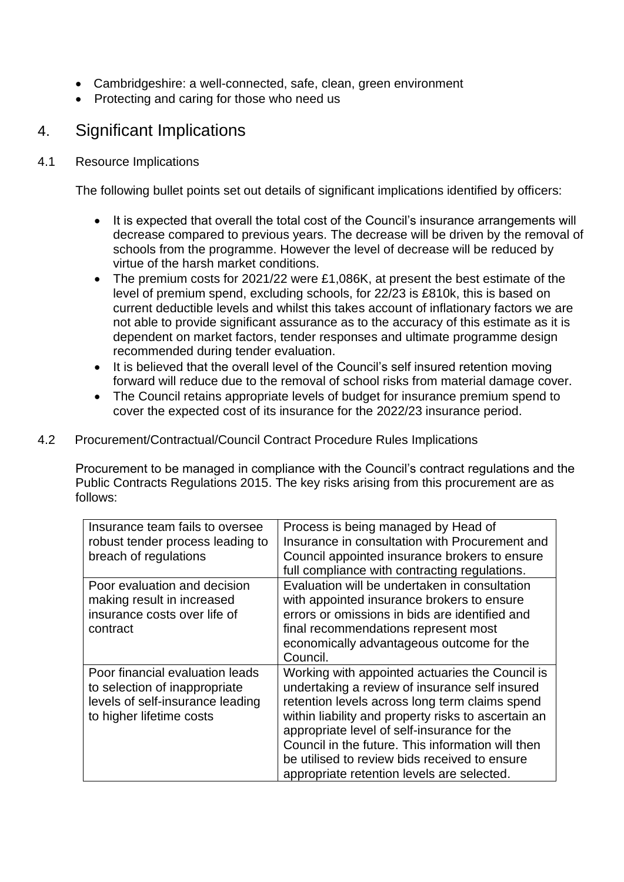- Cambridgeshire: a well-connected, safe, clean, green environment
- Protecting and caring for those who need us

# 4. Significant Implications

#### 4.1 Resource Implications

The following bullet points set out details of significant implications identified by officers:

- It is expected that overall the total cost of the Council's insurance arrangements will decrease compared to previous years. The decrease will be driven by the removal of schools from the programme. However the level of decrease will be reduced by virtue of the harsh market conditions.
- The premium costs for 2021/22 were £1,086K, at present the best estimate of the level of premium spend, excluding schools, for 22/23 is £810k, this is based on current deductible levels and whilst this takes account of inflationary factors we are not able to provide significant assurance as to the accuracy of this estimate as it is dependent on market factors, tender responses and ultimate programme design recommended during tender evaluation.
- It is believed that the overall level of the Council's self insured retention moving forward will reduce due to the removal of school risks from material damage cover.
- The Council retains appropriate levels of budget for insurance premium spend to cover the expected cost of its insurance for the 2022/23 insurance period.

#### 4.2 Procurement/Contractual/Council Contract Procedure Rules Implications

Procurement to be managed in compliance with the Council's contract regulations and the Public Contracts Regulations 2015. The key risks arising from this procurement are as follows:

| Insurance team fails to oversee  | Process is being managed by Head of                 |
|----------------------------------|-----------------------------------------------------|
| robust tender process leading to | Insurance in consultation with Procurement and      |
| breach of regulations            | Council appointed insurance brokers to ensure       |
|                                  | full compliance with contracting regulations.       |
| Poor evaluation and decision     | Evaluation will be undertaken in consultation       |
| making result in increased       | with appointed insurance brokers to ensure          |
| insurance costs over life of     | errors or omissions in bids are identified and      |
| contract                         | final recommendations represent most                |
|                                  | economically advantageous outcome for the           |
|                                  | Council.                                            |
| Poor financial evaluation leads  | Working with appointed actuaries the Council is     |
| to selection of inappropriate    | undertaking a review of insurance self insured      |
| levels of self-insurance leading | retention levels across long term claims spend      |
| to higher lifetime costs         | within liability and property risks to ascertain an |
|                                  | appropriate level of self-insurance for the         |
|                                  | Council in the future. This information will then   |
|                                  | be utilised to review bids received to ensure       |
|                                  | appropriate retention levels are selected.          |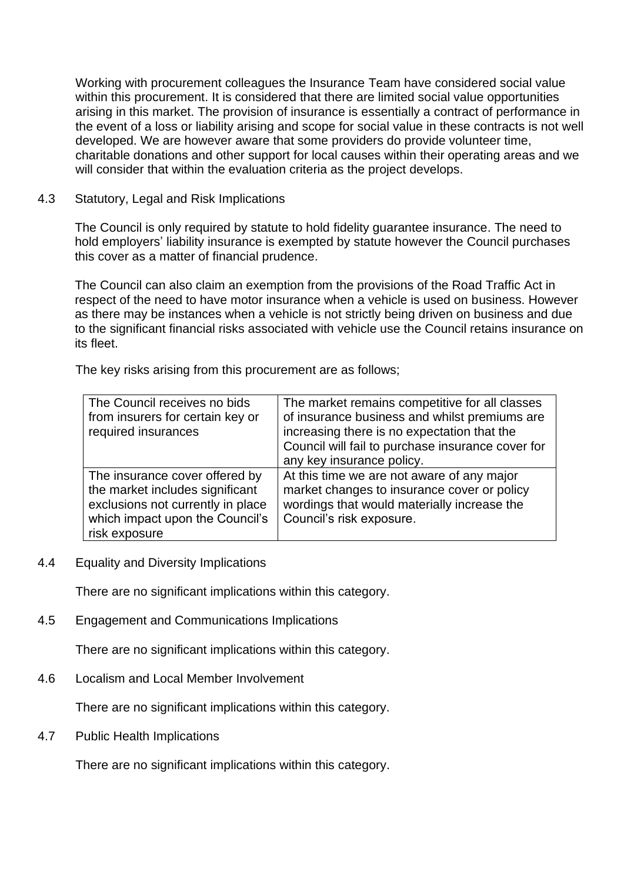Working with procurement colleagues the Insurance Team have considered social value within this procurement. It is considered that there are limited social value opportunities arising in this market. The provision of insurance is essentially a contract of performance in the event of a loss or liability arising and scope for social value in these contracts is not well developed. We are however aware that some providers do provide volunteer time, charitable donations and other support for local causes within their operating areas and we will consider that within the evaluation criteria as the project develops.

#### 4.3 Statutory, Legal and Risk Implications

The Council is only required by statute to hold fidelity guarantee insurance. The need to hold employers' liability insurance is exempted by statute however the Council purchases this cover as a matter of financial prudence.

The Council can also claim an exemption from the provisions of the Road Traffic Act in respect of the need to have motor insurance when a vehicle is used on business. However as there may be instances when a vehicle is not strictly being driven on business and due to the significant financial risks associated with vehicle use the Council retains insurance on its fleet.

The key risks arising from this procurement are as follows;

| The Council receives no bids<br>from insurers for certain key or<br>required insurances                                                                    | The market remains competitive for all classes<br>of insurance business and whilst premiums are<br>increasing there is no expectation that the<br>Council will fail to purchase insurance cover for<br>any key insurance policy. |
|------------------------------------------------------------------------------------------------------------------------------------------------------------|----------------------------------------------------------------------------------------------------------------------------------------------------------------------------------------------------------------------------------|
| The insurance cover offered by<br>the market includes significant<br>exclusions not currently in place<br>which impact upon the Council's<br>risk exposure | At this time we are not aware of any major<br>market changes to insurance cover or policy<br>wordings that would materially increase the<br>Council's risk exposure.                                                             |

4.4 Equality and Diversity Implications

There are no significant implications within this category.

4.5 Engagement and Communications Implications

There are no significant implications within this category.

4.6 Localism and Local Member Involvement

There are no significant implications within this category.

4.7 Public Health Implications

There are no significant implications within this category.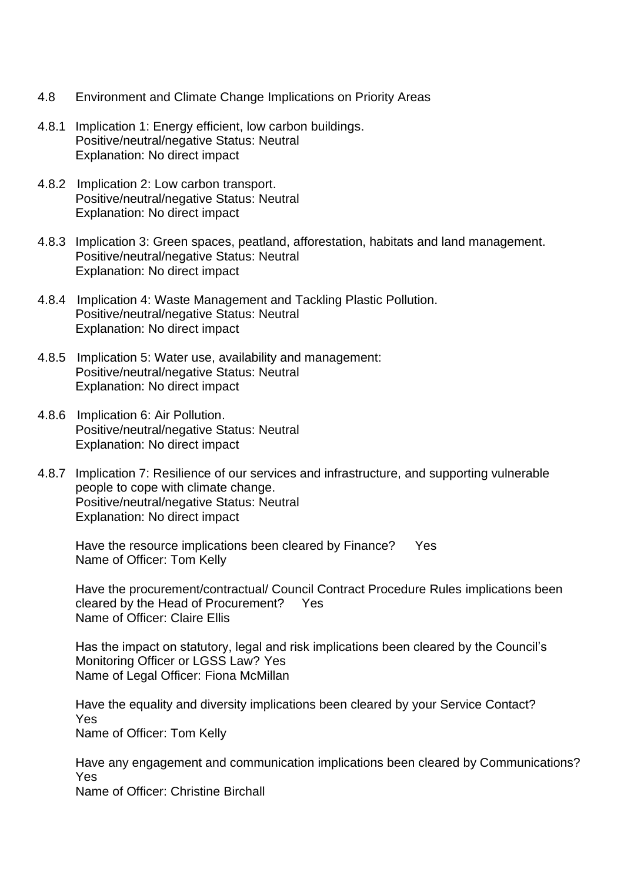- 4.8 Environment and Climate Change Implications on Priority Areas
- 4.8.1 Implication 1: Energy efficient, low carbon buildings. Positive/neutral/negative Status: Neutral Explanation: No direct impact
- 4.8.2 Implication 2: Low carbon transport. Positive/neutral/negative Status: Neutral Explanation: No direct impact
- 4.8.3 Implication 3: Green spaces, peatland, afforestation, habitats and land management. Positive/neutral/negative Status: Neutral Explanation: No direct impact
- 4.8.4 Implication 4: Waste Management and Tackling Plastic Pollution. Positive/neutral/negative Status: Neutral Explanation: No direct impact
- 4.8.5 Implication 5: Water use, availability and management: Positive/neutral/negative Status: Neutral Explanation: No direct impact
- 4.8.6 Implication 6: Air Pollution. Positive/neutral/negative Status: Neutral Explanation: No direct impact
- 4.8.7 Implication 7: Resilience of our services and infrastructure, and supporting vulnerable people to cope with climate change. Positive/neutral/negative Status: Neutral Explanation: No direct impact

Have the resource implications been cleared by Finance? Yes Name of Officer: Tom Kelly

Have the procurement/contractual/ Council Contract Procedure Rules implications been cleared by the Head of Procurement? Yes Name of Officer: Claire Ellis

Has the impact on statutory, legal and risk implications been cleared by the Council's Monitoring Officer or LGSS Law? Yes Name of Legal Officer: Fiona McMillan

Have the equality and diversity implications been cleared by your Service Contact? Yes Name of Officer: Tom Kelly

Have any engagement and communication implications been cleared by Communications? Yes

Name of Officer: Christine Birchall